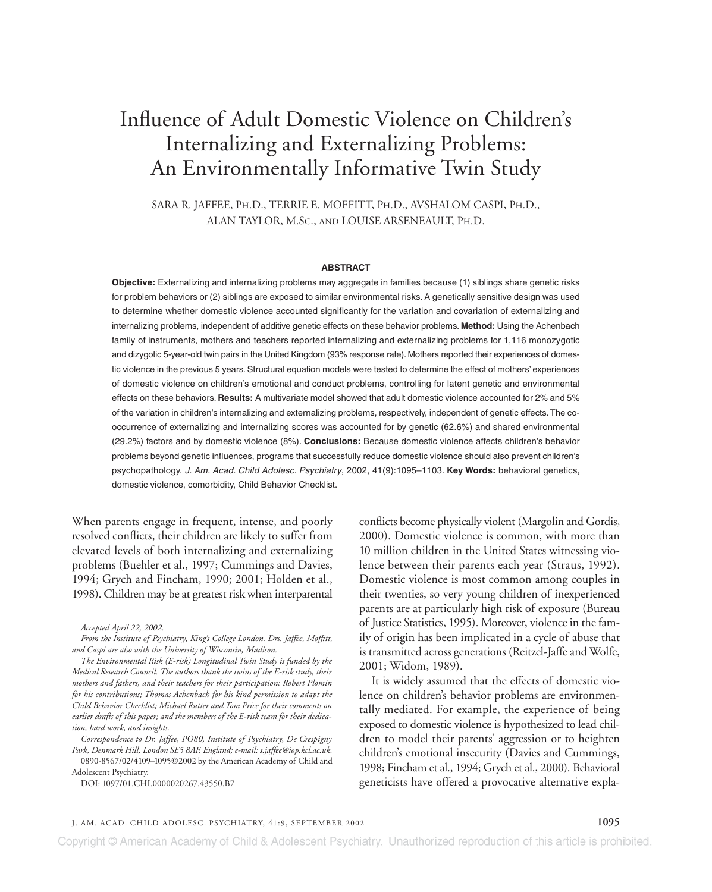# Influence of Adult Domestic Violence on Children's Internalizing and Externalizing Problems: An Environmentally Informative Twin Study

SARA R. JAFFEE, PH.D., TERRIE E. MOFFITT, PH.D., AVSHALOM CASPI, PH.D., ALAN TAYLOR, M.SC., AND LOUISE ARSENEAULT, PH.D.

## **ABSTRACT**

**Objective:** Externalizing and internalizing problems may aggregate in families because (1) siblings share genetic risks for problem behaviors or (2) siblings are exposed to similar environmental risks. A genetically sensitive design was used to determine whether domestic violence accounted significantly for the variation and covariation of externalizing and internalizing problems, independent of additive genetic effects on these behavior problems. **Method:** Using the Achenbach family of instruments, mothers and teachers reported internalizing and externalizing problems for 1,116 monozygotic and dizygotic 5-year-old twin pairs in the United Kingdom (93% response rate). Mothers reported their experiences of domestic violence in the previous 5 years. Structural equation models were tested to determine the effect of mothers' experiences of domestic violence on children's emotional and conduct problems, controlling for latent genetic and environmental effects on these behaviors. **Results:** A multivariate model showed that adult domestic violence accounted for 2% and 5% of the variation in children's internalizing and externalizing problems, respectively, independent of genetic effects.The cooccurrence of externalizing and internalizing scores was accounted for by genetic (62.6%) and shared environmental (29.2%) factors and by domestic violence (8%). **Conclusions:** Because domestic violence affects children's behavior problems beyond genetic influences, programs that successfully reduce domestic violence should also prevent children's psychopathology. J. Am. Acad. Child Adolesc. Psychiatry, 2002, 41(9):1095–1103. **Key Words:** behavioral genetics, domestic violence, comorbidity, Child Behavior Checklist.

When parents engage in frequent, intense, and poorly resolved conflicts, their children are likely to suffer from elevated levels of both internalizing and externalizing problems (Buehler et al., 1997; Cummings and Davies, 1994; Grych and Fincham, 1990; 2001; Holden et al., 1998). Children may be at greatest risk when interparental

conflicts become physically violent (Margolin and Gordis, 2000). Domestic violence is common, with more than 10 million children in the United States witnessing violence between their parents each year (Straus, 1992). Domestic violence is most common among couples in their twenties, so very young children of inexperienced parents are at particularly high risk of exposure (Bureau of Justice Statistics, 1995). Moreover, violence in the family of origin has been implicated in a cycle of abuse that is transmitted across generations (Reitzel-Jaffe and Wolfe, 2001; Widom, 1989).

It is widely assumed that the effects of domestic violence on children's behavior problems are environmentally mediated. For example, the experience of being exposed to domestic violence is hypothesized to lead children to model their parents' aggression or to heighten children's emotional insecurity (Davies and Cummings, 1998; Fincham et al., 1994; Grych et al., 2000). Behavioral geneticists have offered a provocative alternative expla-

*Accepted April 22, 2002.*

*From the Institute of Psychiatry, King's College London. Drs. Jaffee, Moffitt, and Caspi are also with the University of Wisconsin, Madison.*

*The Environmental Risk (E-risk) Longitudinal Twin Study is funded by the Medical Research Council. The authors thank the twins of the E-risk study, their mothers and fathers, and their teachers for their participation; Robert Plomin for his contributions; Thomas Achenbach for his kind permission to adapt the Child Behavior Checklist; Michael Rutter and Tom Price for their comments on earlier drafts of this paper; and the members of the E-risk team for their dedication, hard work, and insights.*

*Correspondence to Dr. Jaffee, PO80, Institute of Psychiatry, De Crespigny Park, Denmark Hill, London SE5 8AF, England; e-mail: s.jaffee@iop.kcl.ac.uk.* 0890-8567/02/4109-1095@2002 by the American Academy of Child and Adolescent Psychiatry.

DOI: 1097/01.CHI.0000020267.43550.B7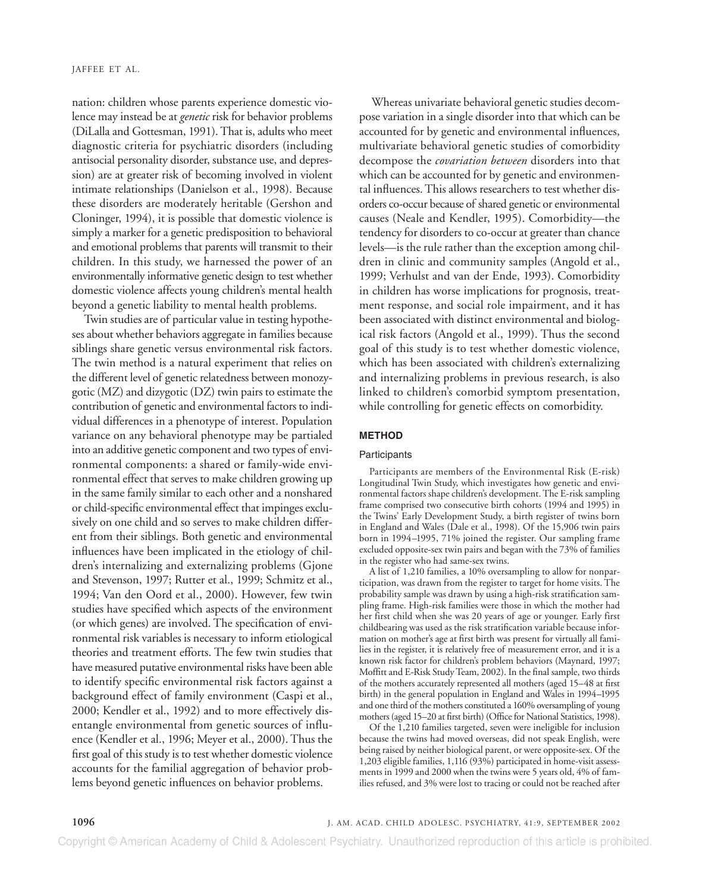nation: children whose parents experience domestic violence may instead be at *genetic* risk for behavior problems (DiLalla and Gottesman, 1991). That is, adults who meet diagnostic criteria for psychiatric disorders (including antisocial personality disorder, substance use, and depression) are at greater risk of becoming involved in violent intimate relationships (Danielson et al., 1998). Because these disorders are moderately heritable (Gershon and Cloninger, 1994), it is possible that domestic violence is simply a marker for a genetic predisposition to behavioral and emotional problems that parents will transmit to their children. In this study, we harnessed the power of an environmentally informative genetic design to test whether domestic violence affects young children's mental health beyond a genetic liability to mental health problems.

Twin studies are of particular value in testing hypotheses about whether behaviors aggregate in families because siblings share genetic versus environmental risk factors. The twin method is a natural experiment that relies on the different level of genetic relatedness between monozygotic (MZ) and dizygotic (DZ) twin pairs to estimate the contribution of genetic and environmental factors to individual differences in a phenotype of interest. Population variance on any behavioral phenotype may be partialed into an additive genetic component and two types of environmental components: a shared or family-wide environmental effect that serves to make children growing up in the same family similar to each other and a nonshared or child-specific environmental effect that impinges exclusively on one child and so serves to make children different from their siblings. Both genetic and environmental influences have been implicated in the etiology of children's internalizing and externalizing problems (Gjone and Stevenson, 1997; Rutter et al., 1999; Schmitz et al., 1994; Van den Oord et al., 2000). However, few twin studies have specified which aspects of the environment (or which genes) are involved. The specification of environmental risk variables is necessary to inform etiological theories and treatment efforts. The few twin studies that have measured putative environmental risks have been able to identify specific environmental risk factors against a background effect of family environment (Caspi et al., 2000; Kendler et al., 1992) and to more effectively disentangle environmental from genetic sources of influence (Kendler et al., 1996; Meyer et al., 2000). Thus the first goal of this study is to test whether domestic violence accounts for the familial aggregation of behavior problems beyond genetic influences on behavior problems.

Whereas univariate behavioral genetic studies decompose variation in a single disorder into that which can be accounted for by genetic and environmental influences, multivariate behavioral genetic studies of comorbidity decompose the *covariation between* disorders into that which can be accounted for by genetic and environmental influences. This allows researchers to test whether disorders co-occur because of shared genetic or environmental causes (Neale and Kendler, 1995). Comorbidity—the tendency for disorders to co-occur at greater than chance levels—is the rule rather than the exception among children in clinic and community samples (Angold et al., 1999; Verhulst and van der Ende, 1993). Comorbidity in children has worse implications for prognosis, treatment response, and social role impairment, and it has been associated with distinct environmental and biological risk factors (Angold et al., 1999). Thus the second goal of this study is to test whether domestic violence, which has been associated with children's externalizing and internalizing problems in previous research, is also linked to children's comorbid symptom presentation, while controlling for genetic effects on comorbidity.

# **METHOD**

### **Participants**

Participants are members of the Environmental Risk (E-risk) Longitudinal Twin Study, which investigates how genetic and environmental factors shape children's development. The E-risk sampling frame comprised two consecutive birth cohorts (1994 and 1995) in the Twins' Early Development Study, a birth register of twins born in England and Wales (Dale et al., 1998). Of the 15,906 twin pairs born in 1994–1995, 71% joined the register. Our sampling frame excluded opposite-sex twin pairs and began with the 73% of families in the register who had same-sex twins.

A list of 1,210 families, a 10% oversampling to allow for nonparticipation, was drawn from the register to target for home visits. The probability sample was drawn by using a high-risk stratification sampling frame. High-risk families were those in which the mother had her first child when she was 20 years of age or younger. Early first childbearing was used as the risk stratification variable because information on mother's age at first birth was present for virtually all families in the register, it is relatively free of measurement error, and it is a known risk factor for children's problem behaviors (Maynard, 1997; Moffitt and E-Risk Study Team, 2002). In the final sample, two thirds of the mothers accurately represented all mothers (aged 15–48 at first birth) in the general population in England and Wales in 1994–1995 and one third of the mothers constituted a 160% oversampling of young mothers (aged 15–20 at first birth) (Office for National Statistics, 1998).

Of the 1,210 families targeted, seven were ineligible for inclusion because the twins had moved overseas, did not speak English, were being raised by neither biological parent, or were opposite-sex. Of the 1,203 eligible families, 1,116 (93%) participated in home-visit assessments in 1999 and 2000 when the twins were 5 years old, 4% of families refused, and 3% were lost to tracing or could not be reached after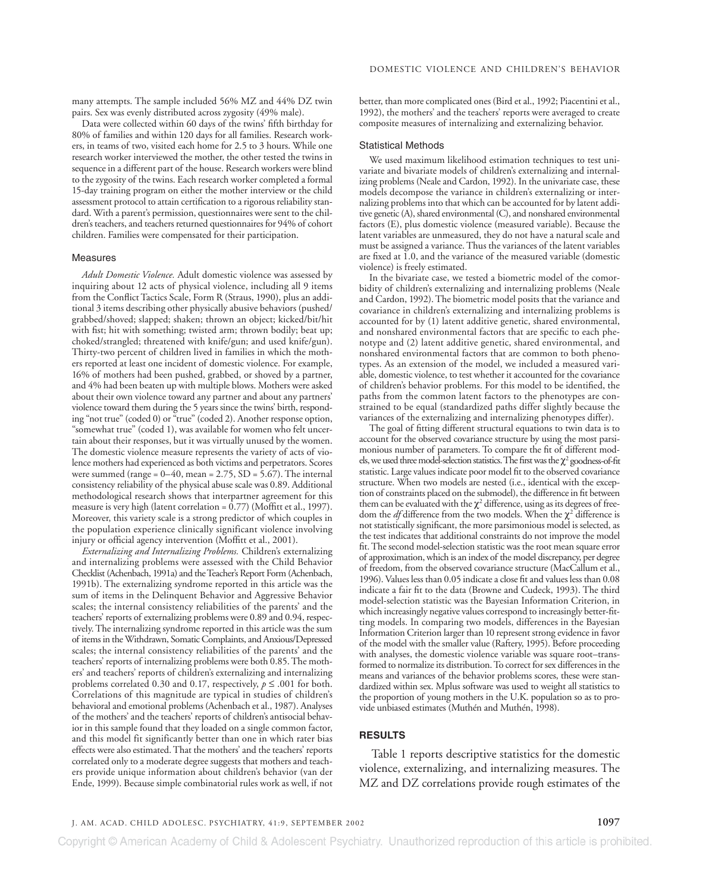many attempts. The sample included 56% MZ and 44% DZ twin pairs. Sex was evenly distributed across zygosity (49% male).

Data were collected within 60 days of the twins' fifth birthday for 80% of families and within 120 days for all families. Research workers, in teams of two, visited each home for 2.5 to 3 hours. While one research worker interviewed the mother, the other tested the twins in sequence in a different part of the house. Research workers were blind to the zygosity of the twins. Each research worker completed a formal 15-day training program on either the mother interview or the child assessment protocol to attain certification to a rigorous reliability standard. With a parent's permission, questionnaires were sent to the children's teachers, and teachers returned questionnaires for 94% of cohort children. Families were compensated for their participation.

### Measures

*Adult Domestic Violence.* Adult domestic violence was assessed by inquiring about 12 acts of physical violence, including all 9 items from the Conflict Tactics Scale, Form R (Straus, 1990), plus an additional 3 items describing other physically abusive behaviors (pushed/ grabbed/shoved; slapped; shaken; thrown an object; kicked/bit/hit with fist; hit with something; twisted arm; thrown bodily; beat up; choked/strangled; threatened with knife/gun; and used knife/gun). Thirty-two percent of children lived in families in which the mothers reported at least one incident of domestic violence. For example, 16% of mothers had been pushed, grabbed, or shoved by a partner, and 4% had been beaten up with multiple blows. Mothers were asked about their own violence toward any partner and about any partners' violence toward them during the 5 years since the twins' birth, responding "not true" (coded 0) or "true" (coded 2). Another response option, "somewhat true" (coded 1), was available for women who felt uncertain about their responses, but it was virtually unused by the women. The domestic violence measure represents the variety of acts of violence mothers had experienced as both victims and perpetrators. Scores were summed (range =  $0-40$ , mean =  $2.75$ , SD =  $5.67$ ). The internal consistency reliability of the physical abuse scale was 0.89. Additional methodological research shows that interpartner agreement for this measure is very high (latent correlation = 0.77) (Moffitt et al., 1997). Moreover, this variety scale is a strong predictor of which couples in the population experience clinically significant violence involving injury or official agency intervention (Moffitt et al., 2001).

*Externalizing and Internalizing Problems.* Children's externalizing and internalizing problems were assessed with the Child Behavior Checklist (Achenbach, 1991a) and the Teacher's Report Form (Achenbach, 1991b). The externalizing syndrome reported in this article was the sum of items in the Delinquent Behavior and Aggressive Behavior scales; the internal consistency reliabilities of the parents' and the teachers' reports of externalizing problems were 0.89 and 0.94, respectively. The internalizing syndrome reported in this article was the sum of items in the Withdrawn, Somatic Complaints, and Anxious/Depressed scales; the internal consistency reliabilities of the parents' and the teachers' reports of internalizing problems were both 0.85. The mothers' and teachers' reports of children's externalizing and internalizing problems correlated 0.30 and 0.17, respectively, *p* ≤ .001 for both. Correlations of this magnitude are typical in studies of children's behavioral and emotional problems (Achenbach et al., 1987). Analyses of the mothers' and the teachers' reports of children's antisocial behavior in this sample found that they loaded on a single common factor, and this model fit significantly better than one in which rater bias effects were also estimated. That the mothers' and the teachers' reports correlated only to a moderate degree suggests that mothers and teachers provide unique information about children's behavior (van der Ende, 1999). Because simple combinatorial rules work as well, if not better, than more complicated ones (Bird et al., 1992; Piacentini et al., 1992), the mothers' and the teachers' reports were averaged to create composite measures of internalizing and externalizing behavior.

#### Statistical Methods

We used maximum likelihood estimation techniques to test univariate and bivariate models of children's externalizing and internalizing problems (Neale and Cardon, 1992). In the univariate case, these models decompose the variance in children's externalizing or internalizing problems into that which can be accounted for by latent additive genetic (A), shared environmental (C), and nonshared environmental factors (E), plus domestic violence (measured variable). Because the latent variables are unmeasured, they do not have a natural scale and must be assigned a variance. Thus the variances of the latent variables are fixed at 1.0, and the variance of the measured variable (domestic violence) is freely estimated.

In the bivariate case, we tested a biometric model of the comorbidity of children's externalizing and internalizing problems (Neale and Cardon, 1992). The biometric model posits that the variance and covariance in children's externalizing and internalizing problems is accounted for by (1) latent additive genetic, shared environmental, and nonshared environmental factors that are specific to each phenotype and (2) latent additive genetic, shared environmental, and nonshared environmental factors that are common to both phenotypes. As an extension of the model, we included a measured variable, domestic violence, to test whether it accounted for the covariance of children's behavior problems. For this model to be identified, the paths from the common latent factors to the phenotypes are constrained to be equal (standardized paths differ slightly because the variances of the externalizing and internalizing phenotypes differ).

The goal of fitting different structural equations to twin data is to account for the observed covariance structure by using the most parsimonious number of parameters. To compare the fit of different models, we used three model-selection statistics. The first was the  $\chi^2$  goodness-of-fit statistic. Large values indicate poor model fit to the observed covariance structure. When two models are nested (i.e., identical with the exception of constraints placed on the submodel), the difference in fit between them can be evaluated with the  $\chi^2$  difference, using as its degrees of freedom the *df* difference from the two models. When the  $\chi^2$  difference is not statistically significant, the more parsimonious model is selected, as the test indicates that additional constraints do not improve the model fit. The second model-selection statistic was the root mean square error of approximation, which is an index of the model discrepancy, per degree of freedom, from the observed covariance structure (MacCallum et al., 1996). Values less than 0.05 indicate a close fit and values less than 0.08 indicate a fair fit to the data (Browne and Cudeck, 1993). The third model-selection statistic was the Bayesian Information Criterion, in which increasingly negative values correspond to increasingly better-fitting models. In comparing two models, differences in the Bayesian Information Criterion larger than 10 represent strong evidence in favor of the model with the smaller value (Raftery, 1995). Before proceeding with analyses, the domestic violence variable was square root–transformed to normalize its distribution. To correct for sex differences in the means and variances of the behavior problems scores, these were standardized within sex. Mplus software was used to weight all statistics to the proportion of young mothers in the U.K. population so as to provide unbiased estimates (Muthén and Muthén, 1998).

# **RESULTS**

Table 1 reports descriptive statistics for the domestic violence, externalizing, and internalizing measures. The MZ and DZ correlations provide rough estimates of the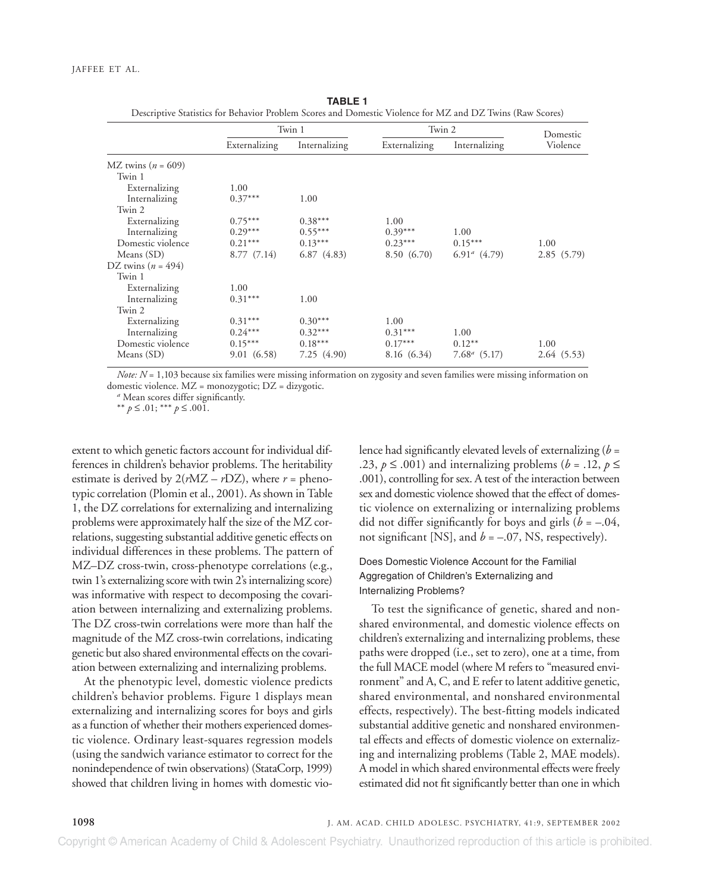|                      |               | Twin 1        | Twin 2        | Domestic               |            |  |  |
|----------------------|---------------|---------------|---------------|------------------------|------------|--|--|
|                      | Externalizing | Internalizing | Externalizing | Internalizing          | Violence   |  |  |
| MZ twins $(n = 609)$ |               |               |               |                        |            |  |  |
| Twin 1               |               |               |               |                        |            |  |  |
| Externalizing        | 1.00          |               |               |                        |            |  |  |
| Internalizing        | $0.37***$     | 1.00          |               |                        |            |  |  |
| Twin 2               |               |               |               |                        |            |  |  |
| Externalizing        | $0.75***$     | $0.38***$     | 1.00          |                        |            |  |  |
| Internalizing        | $0.29***$     | $0.55***$     | $0.39***$     | 1.00                   |            |  |  |
| Domestic violence    | $0.21***$     | $0.13***$     | $0.23***$     | $0.15***$              | 1.00       |  |  |
| Means (SD)           | 8.77(7.14)    | 6.87(4.83)    | 8.50 (6.70)   | $6.91^{\alpha}$ (4.79) | 2.85(5.79) |  |  |
| DZ twins $(n = 494)$ |               |               |               |                        |            |  |  |
| Twin 1               |               |               |               |                        |            |  |  |
| Externalizing        | 1.00          |               |               |                        |            |  |  |
| Internalizing        | $0.31***$     | 1.00          |               |                        |            |  |  |
| Twin 2               |               |               |               |                        |            |  |  |
| Externalizing        | $0.31***$     | $0.30***$     | 1.00          |                        |            |  |  |
| Internalizing        | $0.24***$     | $0.32***$     | $0.31***$     | 1.00                   |            |  |  |
| Domestic violence    | $0.15***$     | $0.18***$     | $0.17***$     | $0.12***$              | 1.00       |  |  |
| Means (SD)           | 9.01(6.58)    | 7.25(4.90)    | 8.16 (6.34)   | $7.68a$ (5.17)         | 2.64(5.53) |  |  |

**TABLE 1** Descriptive Statistics for Behavior Problem Scores and Domestic Violence for MZ and DZ Twins (Raw Scores)

*Note: N* = 1,103 because six families were missing information on zygosity and seven families were missing information on domestic violence. MZ = monozygotic; DZ = dizygotic. *<sup>a</sup>* Mean scores differ significantly.

\*\* *p* ≤ .01; \*\*\* *p* ≤ .001.

extent to which genetic factors account for individual differences in children's behavior problems. The heritability estimate is derived by  $2(rMZ - rDZ)$ , where  $r =$  phenotypic correlation (Plomin et al., 2001). As shown in Table 1, the DZ correlations for externalizing and internalizing problems were approximately half the size of the MZ correlations, suggesting substantial additive genetic effects on individual differences in these problems. The pattern of MZ–DZ cross-twin, cross-phenotype correlations (e.g., twin 1's externalizing score with twin 2's internalizing score) was informative with respect to decomposing the covariation between internalizing and externalizing problems. The DZ cross-twin correlations were more than half the magnitude of the MZ cross-twin correlations, indicating genetic but also shared environmental effects on the covariation between externalizing and internalizing problems.

At the phenotypic level, domestic violence predicts children's behavior problems. Figure 1 displays mean externalizing and internalizing scores for boys and girls as a function of whether their mothers experienced domestic violence. Ordinary least-squares regression models (using the sandwich variance estimator to correct for the nonindependence of twin observations) (StataCorp, 1999) showed that children living in homes with domestic violence had significantly elevated levels of externalizing (*b* = .23,  $p \leq .001$ ) and internalizing problems ( $b = .12$ ,  $p \leq$ .001), controlling for sex. A test of the interaction between sex and domestic violence showed that the effect of domestic violence on externalizing or internalizing problems did not differ significantly for boys and girls ( $b = -.04$ , not significant [NS], and  $b = -.07$ , NS, respectively).

# Does Domestic Violence Account for the Familial Aggregation of Children's Externalizing and Internalizing Problems?

To test the significance of genetic, shared and nonshared environmental, and domestic violence effects on children's externalizing and internalizing problems, these paths were dropped (i.e., set to zero), one at a time, from the full MACE model (where M refers to "measured environment" and A, C, and E refer to latent additive genetic, shared environmental, and nonshared environmental effects, respectively). The best-fitting models indicated substantial additive genetic and nonshared environmental effects and effects of domestic violence on externalizing and internalizing problems (Table 2, MAE models). A model in which shared environmental effects were freely estimated did not fit significantly better than one in which

**1098** J. AM. ACAD. CHILD ADOLESC. PSYCHIATRY, 41:9, SEPTEMBER 2002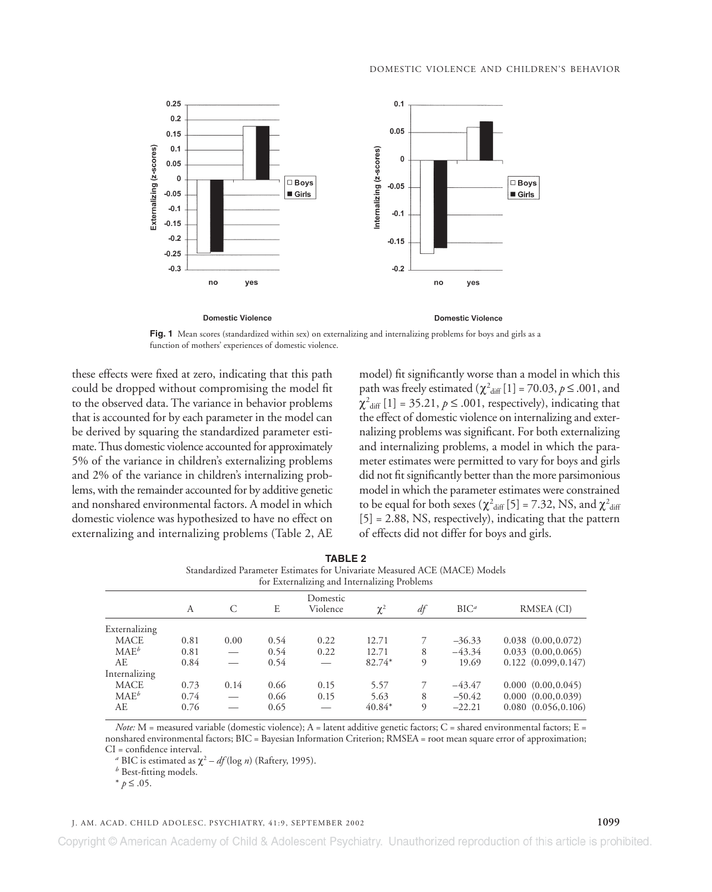

**Fig. 1** Mean scores (standardized within sex) on externalizing and internalizing problems for boys and girls as a function of mothers' experiences of domestic violence.

these effects were fixed at zero, indicating that this path could be dropped without compromising the model fit to the observed data. The variance in behavior problems that is accounted for by each parameter in the model can be derived by squaring the standardized parameter estimate. Thus domestic violence accounted for approximately 5% of the variance in children's externalizing problems and 2% of the variance in children's internalizing problems, with the remainder accounted for by additive genetic and nonshared environmental factors. A model in which domestic violence was hypothesized to have no effect on externalizing and internalizing problems (Table 2, AE

model) fit significantly worse than a model in which this path was freely estimated ( $\chi^2$ <sub>diff</sub> [1] = 70.03,  $p \leq .001$ , and  $\chi^2$ <sub>diff</sub> [1] = 35.21,  $p \leq .001$ , respectively), indicating that the effect of domestic violence on internalizing and externalizing problems was significant. For both externalizing and internalizing problems, a model in which the parameter estimates were permitted to vary for boys and girls did not fit significantly better than the more parsimonious model in which the parameter estimates were constrained to be equal for both sexes ( $\chi^2_{\text{diff}}$  [5] = 7.32, NS, and  $\chi^2_{\text{diff}}$ [5] = 2.88, NS, respectively), indicating that the pattern of effects did not differ for boys and girls.

|                  |      |      |      | Standardized Parameter Estimates for Univariate Measured ACE (MACE) Models<br>for Externalizing and Internalizing Problems |          |    |          |                          |  |  |
|------------------|------|------|------|----------------------------------------------------------------------------------------------------------------------------|----------|----|----------|--------------------------|--|--|
|                  | A    |      | E    | Domestic<br>Violence                                                                                                       | $\chi^2$ | df | $BIC^a$  | RMSEA (CI)               |  |  |
| Externalizing    |      |      |      |                                                                                                                            |          |    |          |                          |  |  |
| <b>MACE</b>      | 0.81 | 0.00 | 0.54 | 0.22                                                                                                                       | 12.71    |    | $-36.33$ | $0.038$ $(0.00, 0.072)$  |  |  |
| MAE <sup>b</sup> | 0.81 |      | 0.54 | 0.22                                                                                                                       | 12.71    | 8  | $-43.34$ | $0.033$ $(0.00, 0.065)$  |  |  |
| AE.              | 0.84 |      | 0.54 |                                                                                                                            | 82.74*   | 9  | 19.69    | $0.122$ $(0.099, 0.147)$ |  |  |
| Internalizing    |      |      |      |                                                                                                                            |          |    |          |                          |  |  |
| MACE             | 0.73 | 0.14 | 0.66 | 0.15                                                                                                                       | 5.57     |    | $-43.47$ | 0.000 (0.00, 0.045)      |  |  |
| MAE <sup>b</sup> | 0.74 |      | 0.66 | 0.15                                                                                                                       | 5.63     | 8  | $-50.42$ | 0.000(0.00, 0.039)       |  |  |
| AE               | 0.76 |      | 0.65 |                                                                                                                            | $40.84*$ | 9  | $-22.21$ | $0.080$ $(0.056, 0.106)$ |  |  |

**TABLE 2**

*Note:* M = measured variable (domestic violence); A = latent additive genetic factors; C = shared environmental factors; E = nonshared environmental factors; BIC = Bayesian Information Criterion; RMSEA = root mean square error of approximation;

<sup>*a*</sup> BIC is estimated as  $\chi^2 - df(\log n)$  (Raftery, 1995). *b* Best-fitting models.

\* *p* ≤ .05.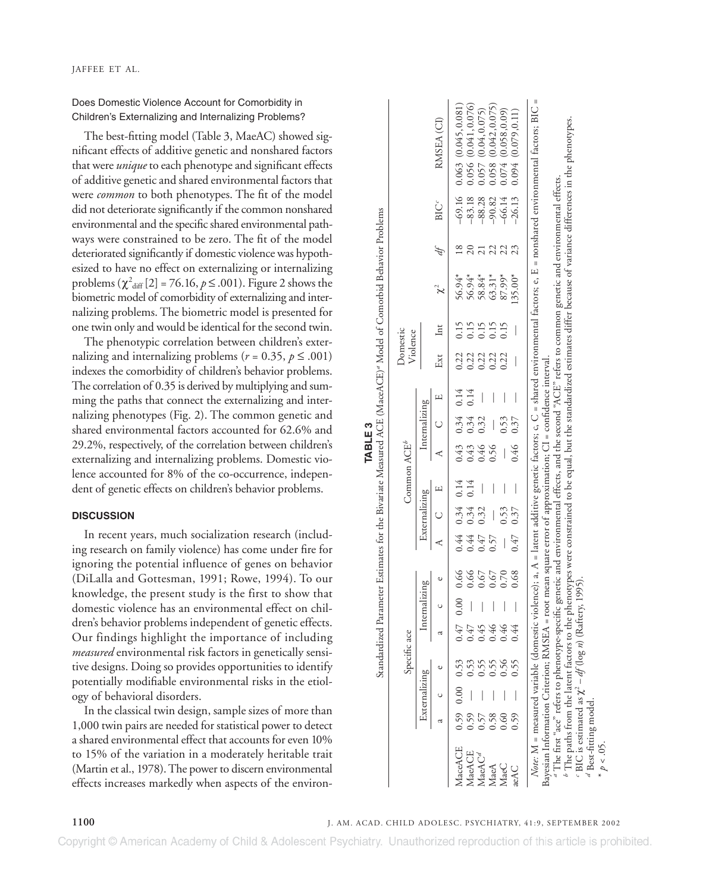# **DISCUSSION**

| Does Domestic Violence Account for Comorbidity in<br>Children's Externalizing and Internalizing Problems?             |                                                                                             |                         |               |                  |              |                                              |                                 |                  |                                                                                                                                                                                                                                                                           |  |
|-----------------------------------------------------------------------------------------------------------------------|---------------------------------------------------------------------------------------------|-------------------------|---------------|------------------|--------------|----------------------------------------------|---------------------------------|------------------|---------------------------------------------------------------------------------------------------------------------------------------------------------------------------------------------------------------------------------------------------------------------------|--|
| The best-fitting model (Table 3, MaeAC) showed sig-                                                                   |                                                                                             |                         |               | RMSEA (CI)       | 0.045, 0.081 | (0.041, 0.076)<br>(0.04, 0.075)              | (0.042, 0.075)<br>(0.058, 0.09) | (0.079, 0.11)    | nonshared environmental factors; BIC<br>"The first "ace" refers to phenotype-specific genetic and environmental effects, and the second "ACE" refers to common genetic and environmental effects.<br>"The paths from the latent factors to the phenotypes were constraine |  |
| nificant effects of additive genetic and nonshared factors                                                            |                                                                                             |                         |               |                  |              |                                              |                                 |                  |                                                                                                                                                                                                                                                                           |  |
| that were <i>unique</i> to each phenotype and significant effects                                                     |                                                                                             |                         |               |                  |              |                                              |                                 |                  |                                                                                                                                                                                                                                                                           |  |
| of additive genetic and shared environmental factors that                                                             |                                                                                             |                         |               |                  | 0.063        | 0.056<br>0.057                               | 0.074<br>0.058                  | 0.094            |                                                                                                                                                                                                                                                                           |  |
| were <i>common</i> to both phenotypes. The fit of the model                                                           |                                                                                             |                         |               |                  |              |                                              |                                 |                  |                                                                                                                                                                                                                                                                           |  |
| did not deteriorate significantly if the common nonshared                                                             |                                                                                             |                         |               | $\mathrm{BIC}^c$ | $-69.16$     | $-83.18$<br>$-88.28$                         | $-90.82$<br>$-66.14$            | $-26.13$         |                                                                                                                                                                                                                                                                           |  |
| environmental and the specific shared environmental path-                                                             |                                                                                             |                         |               |                  |              |                                              |                                 |                  |                                                                                                                                                                                                                                                                           |  |
| ways were constrained to be zero. The fit of the model                                                                |                                                                                             |                         |               |                  |              |                                              |                                 |                  |                                                                                                                                                                                                                                                                           |  |
| deteriorated significantly if domestic violence was hypoth-                                                           |                                                                                             |                         |               | $\mathcal{P}$    |              | $\overline{c}$<br>$\overline{21}$            | 223                             |                  |                                                                                                                                                                                                                                                                           |  |
| esized to have no effect on externalizing or internalizing                                                            |                                                                                             |                         |               |                  |              |                                              |                                 |                  | $\mathop{\rm II}\nolimits$                                                                                                                                                                                                                                                |  |
| problems ( $\chi^2$ <sub>diff</sub> [2] = 76.16, $p \leq .001$ ). Figure 2 shows the                                  |                                                                                             |                         |               | $\chi^2$         |              | $56.94*$<br>$56.94*$<br>$58.84*$<br>$58.31*$ | $87.99*$                        | $.35.00*$        |                                                                                                                                                                                                                                                                           |  |
| biometric model of comorbidity of externalizing and inter-                                                            |                                                                                             |                         |               |                  |              |                                              |                                 |                  |                                                                                                                                                                                                                                                                           |  |
| nalizing problems. The biometric model is presented for                                                               |                                                                                             |                         |               |                  |              |                                              |                                 |                  |                                                                                                                                                                                                                                                                           |  |
| one twin only and would be identical for the second twin.                                                             |                                                                                             |                         |               | $\rm{Int}$       | 0.15         | 0.15                                         | 0.15<br>0.15                    |                  |                                                                                                                                                                                                                                                                           |  |
| The phenotypic correlation between children's exter-                                                                  |                                                                                             | Domestic<br>Violence    |               |                  |              |                                              |                                 |                  | shared environmental factors; e, E                                                                                                                                                                                                                                        |  |
| nalizing and internalizing problems ( $r = 0.35$ , $p \le 0.001$ )                                                    |                                                                                             |                         |               | Ext              |              |                                              | 0.212220                        |                  |                                                                                                                                                                                                                                                                           |  |
| indexes the comorbidity of children's behavior problems.                                                              |                                                                                             |                         |               |                  |              |                                              |                                 |                  |                                                                                                                                                                                                                                                                           |  |
| The correlation of 0.35 is derived by multiplying and sum-                                                            |                                                                                             |                         |               | $\Box$           | 0.14         | 0.14                                         |                                 |                  |                                                                                                                                                                                                                                                                           |  |
| ming the paths that connect the externalizing and inter-<br>nalizing phenotypes (Fig. 2). The common genetic and      |                                                                                             |                         | Internalizing |                  |              |                                              |                                 |                  | = confidence interval.<br>$\, \parallel$                                                                                                                                                                                                                                  |  |
| shared environmental factors accounted for 62.6% and                                                                  |                                                                                             |                         |               | $\bigcirc$       |              | $0.34$<br>0.34                               |                                 | 0.53             |                                                                                                                                                                                                                                                                           |  |
| 29.2%, respectively, of the correlation between children's                                                            | TABLE <sub>3</sub>                                                                          |                         |               |                  |              |                                              |                                 |                  |                                                                                                                                                                                                                                                                           |  |
| externalizing and internalizing problems. Domestic vio-                                                               |                                                                                             |                         |               | $\prec$          |              | $3.4940$<br>0.000                            |                                 | 0.46             |                                                                                                                                                                                                                                                                           |  |
| lence accounted for 8% of the co-occurrence, indepen-                                                                 |                                                                                             | Common ACE <sup>b</sup> |               |                  |              |                                              |                                 |                  |                                                                                                                                                                                                                                                                           |  |
| dent of genetic effects on children's behavior problems.                                                              |                                                                                             |                         |               | $\Box$           | 0.14         | 0.14                                         |                                 |                  |                                                                                                                                                                                                                                                                           |  |
|                                                                                                                       |                                                                                             |                         |               |                  |              |                                              |                                 |                  |                                                                                                                                                                                                                                                                           |  |
| <b>DISCUSSION</b>                                                                                                     | ter Estimates for the Bivariate Measured ACE (MaceACE)" Model of Comorbid Behavior Problems |                         | Externalizing | $\cup$           |              | $0.34$<br>0.34                               |                                 | 0.53             | = latent additive genetic factors; c, C<br>mean square error of approximation; CI                                                                                                                                                                                         |  |
| In recent years, much socialization research (includ-                                                                 |                                                                                             |                         |               |                  | 0.44         | 0.44                                         |                                 | 0.47             |                                                                                                                                                                                                                                                                           |  |
| ing research on family violence) has come under fire for                                                              |                                                                                             |                         |               | ⋖                |              |                                              | $0.47$<br>0.57                  |                  |                                                                                                                                                                                                                                                                           |  |
| ignoring the potential influence of genes on behavior                                                                 |                                                                                             |                         |               |                  |              |                                              |                                 |                  |                                                                                                                                                                                                                                                                           |  |
| (DiLalla and Gottesman, 1991; Rowe, 1994). To our                                                                     |                                                                                             |                         | izing         | $\mathbb O$      | 0.66         |                                              | 89.0<br>0.67<br>0.67<br>0.68    |                  | 995).                                                                                                                                                                                                                                                                     |  |
| knowledge, the present study is the first to show that                                                                |                                                                                             |                         |               |                  |              |                                              |                                 |                  |                                                                                                                                                                                                                                                                           |  |
| domestic violence has an environmental effect on chil-                                                                |                                                                                             |                         | Internali     | $\cup$           | 0.00         |                                              |                                 |                  | $= 1000t$                                                                                                                                                                                                                                                                 |  |
| dren's behavior problems independent of genetic effects.                                                              | Standardized Parame                                                                         |                         |               | $\approx$        |              | 0.45                                         | 0.46                            | 0.46<br>0.44     | $-df(\log n)$ (Raftery, 1                                                                                                                                                                                                                                                 |  |
| Our findings highlight the importance of including                                                                    |                                                                                             | Specific ace            |               |                  |              |                                              |                                 |                  |                                                                                                                                                                                                                                                                           |  |
| <i>measured</i> environmental risk factors in genetically sensi-                                                      |                                                                                             |                         |               |                  |              |                                              |                                 |                  |                                                                                                                                                                                                                                                                           |  |
| tive designs. Doing so provides opportunities to identify<br>potentially modifiable environmental risks in the etiol- |                                                                                             |                         |               | $\circ$          |              | 0.53<br>0.55                                 | 0.56<br>0.55                    | 0.55             |                                                                                                                                                                                                                                                                           |  |
| ogy of behavioral disorders.                                                                                          |                                                                                             |                         |               | $\circ$          | 0.00         |                                              |                                 |                  |                                                                                                                                                                                                                                                                           |  |
| In the classical twin design, sample sizes of more than                                                               |                                                                                             |                         | Externalizing |                  |              |                                              |                                 |                  |                                                                                                                                                                                                                                                                           |  |
| 1,000 twin pairs are needed for statistical power to detect                                                           |                                                                                             |                         |               | $\mathfrak{a}$   |              | $\overline{0.5}$                             | 0.58                            | $0.60$<br>$0.59$ |                                                                                                                                                                                                                                                                           |  |
| a shared environmental effect that accounts for even $10\%$                                                           |                                                                                             |                         |               |                  |              |                                              |                                 |                  | Note: M = measured variable (domestic violence); a, A<br>Bayesian Information Criterion; RMSEA<br>$^c$ BIC is estimated as $\chi^2$<br>$4$ Best-fitting model                                                                                                             |  |
| to 15% of the variation in a moderately heritable trait                                                               |                                                                                             |                         |               |                  |              |                                              |                                 |                  | $p < .05$ .                                                                                                                                                                                                                                                               |  |
| (Martin et al., 1978). The power to discern environmental                                                             |                                                                                             |                         |               |                  | MaceACE      | MaeACE<br><b>MaeAC</b>                       |                                 |                  |                                                                                                                                                                                                                                                                           |  |
| effects increases markedly when aspects of the environ-                                                               |                                                                                             |                         |               |                  |              |                                              | MaeC<br>MaeA                    | aeAC             |                                                                                                                                                                                                                                                                           |  |
|                                                                                                                       |                                                                                             |                         |               |                  |              |                                              |                                 |                  |                                                                                                                                                                                                                                                                           |  |
| 1100                                                                                                                  |                                                                                             |                         |               |                  |              |                                              |                                 |                  | J. AM. ACAD. CHILD ADOLESC. PSYCHIATRY, 41:9, SEPTEMBER 2002                                                                                                                                                                                                              |  |

Copyright © American Academy of Child & Adolescent Psychiatry. Unauthorized reproduction of this article is prohibited.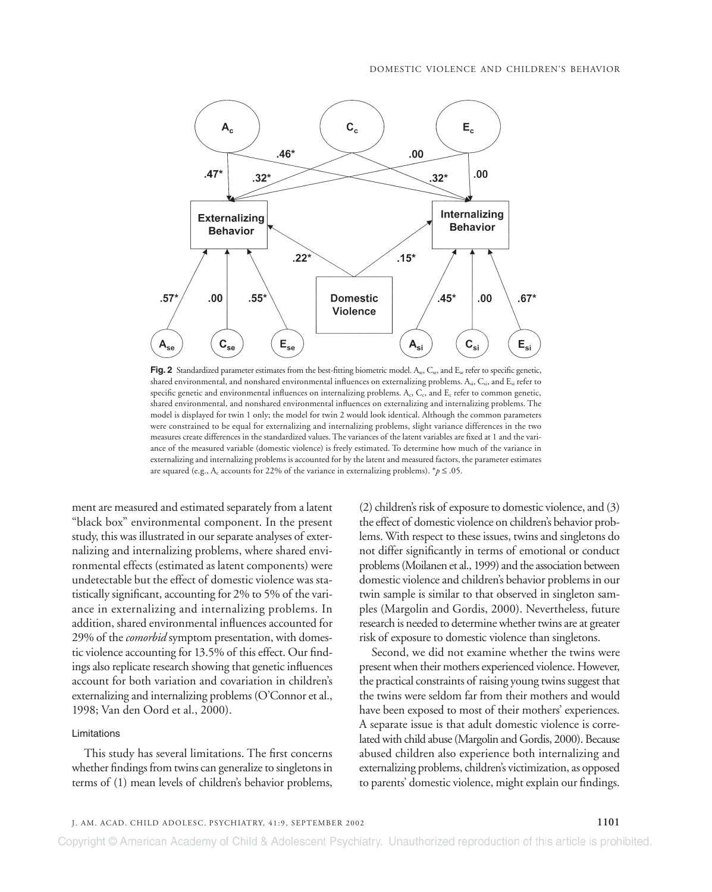

Fig. 2 Standardized parameter estimates from the best-fitting biometric model. A<sub>se</sub>, C<sub>se</sub>, and E<sub>se</sub> refer to specific genetic, shared environmental, and nonshared environmental influences on externalizing problems. Asi, Csi, and Esi refer to specific genetic and environmental influences on internalizing problems.  $A_c$ ,  $C_c$ , and  $E_c$  refer to common genetic, shared environmental, and nonshared environmental influences on externalizing and internalizing problems. The model is displayed for twin 1 only; the model for twin 2 would look identical. Although the common parameters were constrained to be equal for externalizing and internalizing problems, slight variance differences in the two measures create differences in the standardized values. The variances of the latent variables are fixed at 1 and the variance of the measured variable (domestic violence) is freely estimated. To determine how much of the variance in externalizing and internalizing problems is accounted for by the latent and measured factors, the parameter estimates are squared (e.g.,  $A_c$  accounts for 22% of the variance in externalizing problems).  $* p \leq .05$ .

ment are measured and estimated separately from a latent "black box" environmental component. In the present study, this was illustrated in our separate analyses of externalizing and internalizing problems, where shared environmental effects (estimated as latent components) were undetectable but the effect of domestic violence was statistically significant, accounting for 2% to 5% of the variance in externalizing and internalizing problems. In addition, shared environmental influences accounted for 29% of the *comorbid* symptom presentation, with domestic violence accounting for 13.5% of this effect. Our findings also replicate research showing that genetic influences account for both variation and covariation in children's externalizing and internalizing problems (O'Connor et al., 1998; Van den Oord et al., 2000).

# Limitations

This study has several limitations. The first concerns whether findings from twins can generalize to singletons in terms of (1) mean levels of children's behavior problems,

(2) children's risk of exposure to domestic violence, and (3) the effect of domestic violence on children's behavior problems. With respect to these issues, twins and singletons do not differ significantly in terms of emotional or conduct problems (Moilanen et al., 1999) and the association between domestic violence and children's behavior problems in our twin sample is similar to that observed in singleton samples (Margolin and Gordis, 2000). Nevertheless, future research is needed to determine whether twins are at greater risk of exposure to domestic violence than singletons.

Second, we did not examine whether the twins were present when their mothers experienced violence. However, the practical constraints of raising young twins suggest that the twins were seldom far from their mothers and would have been exposed to most of their mothers' experiences. A separate issue is that adult domestic violence is correlated with child abuse (Margolin and Gordis, 2000). Because abused children also experience both internalizing and externalizing problems, children's victimization, as opposed to parents' domestic violence, might explain our findings.

Copyright © American Academy of Child & Adolescent Psychiatry. Unauthorized reproduction of this article is prohibited.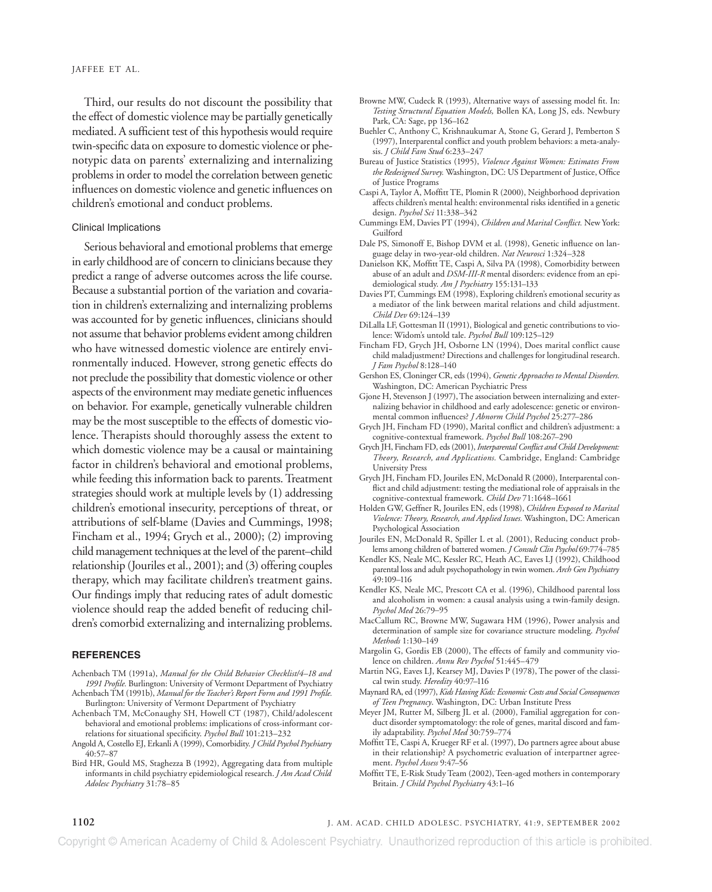Third, our results do not discount the possibility that the effect of domestic violence may be partially genetically mediated. A sufficient test of this hypothesis would require twin-specific data on exposure to domestic violence or phenotypic data on parents' externalizing and internalizing problems in order to model the correlation between genetic influences on domestic violence and genetic influences on children's emotional and conduct problems.

# Clinical Implications

Serious behavioral and emotional problems that emerge in early childhood are of concern to clinicians because they predict a range of adverse outcomes across the life course. Because a substantial portion of the variation and covariation in children's externalizing and internalizing problems was accounted for by genetic influences, clinicians should not assume that behavior problems evident among children who have witnessed domestic violence are entirely environmentally induced. However, strong genetic effects do not preclude the possibility that domestic violence or other aspects of the environment may mediate genetic influences on behavior. For example, genetically vulnerable children may be the most susceptible to the effects of domestic violence. Therapists should thoroughly assess the extent to which domestic violence may be a causal or maintaining factor in children's behavioral and emotional problems, while feeding this information back to parents. Treatment strategies should work at multiple levels by (1) addressing children's emotional insecurity, perceptions of threat, or attributions of self-blame (Davies and Cummings, 1998; Fincham et al., 1994; Grych et al., 2000); (2) improving child management techniques at the level of the parent–child relationship (Jouriles et al., 2001); and (3) offering couples therapy, which may facilitate children's treatment gains. Our findings imply that reducing rates of adult domestic violence should reap the added benefit of reducing children's comorbid externalizing and internalizing problems.

# **REFERENCES**

Achenbach TM (1991a), *Manual for the Child Behavior Checklist/4–18 and 1991 Profile.* Burlington: University of Vermont Department of Psychiatry

- Achenbach TM (1991b), *Manual for the Teacher's Report Form and 1991 Profile.* Burlington: University of Vermont Department of Psychiatry
- Achenbach TM, McConaughy SH, Howell CT (1987), Child/adolescent behavioral and emotional problems: implications of cross-informant correlations for situational specificity. *Psychol Bull* 101:213–232
- Angold A, Costello EJ, Erkanli A (1999), Comorbidity. *J Child Psychol Psychiatry* 40:57–87
- Bird HR, Gould MS, Staghezza B (1992), Aggregating data from multiple informants in child psychiatry epidemiological research. *J Am Acad Child Adolesc Psychiatry* 31:78–85
- Browne MW, Cudeck R (1993), Alternative ways of assessing model fit. In: *Testing Structural Equation Models,* Bollen KA, Long JS, eds. Newbury Park, CA: Sage, pp 136–162
- Buehler C, Anthony C, Krishnaukumar A, Stone G, Gerard J, Pemberton S (1997), Interparental conflict and youth problem behaviors: a meta-analysis. *J Child Fam Stud* 6:233–247
- Bureau of Justice Statistics (1995), *Violence Against Women: Estimates From the Redesigned Survey.* Washington, DC: US Department of Justice, Office of Justice Programs
- Caspi A, Taylor A, Moffitt TE, Plomin R (2000), Neighborhood deprivation affects children's mental health: environmental risks identified in a genetic design. *Psychol Sci* 11:338–342
- Cummings EM, Davies PT (1994), *Children and Marital Conflict.* New York: Guilford
- Dale PS, Simonoff E, Bishop DVM et al. (1998), Genetic influence on language delay in two-year-old children. *Nat Neurosci* 1:324–328
- Danielson KK, Moffitt TE, Caspi A, Silva PA (1998), Comorbidity between abuse of an adult and *DSM-III-R* mental disorders: evidence from an epidemiological study. *Am J Psychiatry* 155:131–133
- Davies PT, Cummings EM (1998), Exploring children's emotional security as a mediator of the link between marital relations and child adjustment. *Child Dev* 69:124–139
- DiLalla LF, Gottesman II (1991), Biological and genetic contributions to violence: Widom's untold tale. *Psychol Bull* 109:125–129
- Fincham FD, Grych JH, Osborne LN (1994), Does marital conflict cause child maladjustment? Directions and challenges for longitudinal research. *J Fam Psychol* 8:128–140
- Gershon ES, Cloninger CR, eds (1994), *Genetic Approaches to Mental Disorders.* Washington, DC: American Psychiatric Press
- Gjone H, Stevenson J (1997), The association between internalizing and externalizing behavior in childhood and early adolescence: genetic or environmental common influences? *J Abnorm Child Psychol* 25:277–286
- Grych JH, Fincham FD (1990), Marital conflict and children's adjustment: a cognitive-contextual framework. *Psychol Bull* 108:267–290
- Grych JH, Fincham FD, eds (2001), *Interparental Conflict and Child Development: Theory, Research, and Applications.* Cambridge, England: Cambridge University Press
- Grych JH, Fincham FD, Jouriles EN, McDonald R (2000), Interparental conflict and child adjustment: testing the mediational role of appraisals in the cognitive-contextual framework. *Child Dev* 71:1648–1661
- Holden GW, Geffner R, Jouriles EN, eds (1998), *Children Exposed to Marital Violence: Theory, Research, and Applied Issues.* Washington, DC: American Psychological Association
- Jouriles EN, McDonald R, Spiller L et al. (2001), Reducing conduct problems among children of battered women. *J Consult Clin Psychol* 69:774–785
- Kendler KS, Neale MC, Kessler RC, Heath AC, Eaves LJ (1992), Childhood parental loss and adult psychopathology in twin women. *Arch Gen Psychiatry* 49:109–116
- Kendler KS, Neale MC, Prescott CA et al. (1996), Childhood parental loss and alcoholism in women: a causal analysis using a twin-family design. *Psychol Med* 26:79–95
- MacCallum RC, Browne MW, Sugawara HM (1996), Power analysis and determination of sample size for covariance structure modeling. *Psychol Methods* 1:130–149
- Margolin G, Gordis EB (2000), The effects of family and community violence on children. *Annu Rev Psychol* 51:445–479
- Martin NG, Eaves LJ, Kearsey MJ, Davies P (1978), The power of the classical twin study. *Heredity* 40:97–116
- Maynard RA, ed (1997), *Kids Having Kids: Economic Costs and Social Consequences of Teen Pregnancy*. Washington, DC: Urban Institute Press
- Meyer JM, Rutter M, Silberg JL et al. (2000), Familial aggregation for conduct disorder symptomatology: the role of genes, marital discord and family adaptability. *Psychol Med* 30:759–774
- Moffitt TE, Caspi A, Krueger RF et al. (1997), Do partners agree about abuse in their relationship? A psychometric evaluation of interpartner agreement. *Psychol Assess* 9:47–56
- Moffitt TE, E-Risk Study Team (2002), Teen-aged mothers in contemporary Britain. *J Child Psychol Psychiatry* 43:1–16

# **1102** J. AM. ACAD. CHILD ADOLESC. PSYCHIATRY, 41:9, SEPTEMBER 2002

Copyright © American Academy of Child & Adolescent Psychiatry. Unauthorized reproduction of this article is prohibited.